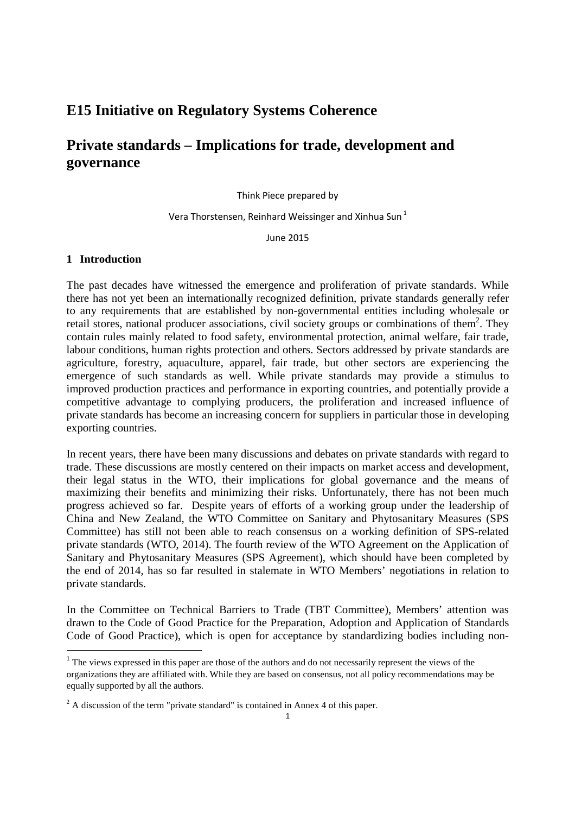## **E15 Initiative on Regulatory Systems Coherence**

# **Private standards – Implications for trade, development and governance**

Think Piece prepared by

Vera Thorstensen, Reinhard Weissinger and Xinhua Sun<sup>1</sup>

June 2015

#### **1 Introduction**

<u>.</u>

The past decades have witnessed the emergence and proliferation of private standards. While there has not yet been an internationally recognized definition, private standards generally refer to any requirements that are established by non-governmental entities including wholesale or retail stores, national producer associations, civil society groups or combinations of them<sup>2</sup>. They contain rules mainly related to food safety, environmental protection, animal welfare, fair trade, labour conditions, human rights protection and others. Sectors addressed by private standards are agriculture, forestry, aquaculture, apparel, fair trade, but other sectors are experiencing the emergence of such standards as well. While private standards may provide a stimulus to improved production practices and performance in exporting countries, and potentially provide a competitive advantage to complying producers, the proliferation and increased influence of private standards has become an increasing concern for suppliers in particular those in developing exporting countries.

In recent years, there have been many discussions and debates on private standards with regard to trade. These discussions are mostly centered on their impacts on market access and development, their legal status in the WTO, their implications for global governance and the means of maximizing their benefits and minimizing their risks. Unfortunately, there has not been much progress achieved so far. Despite years of efforts of a working group under the leadership of China and New Zealand, the WTO Committee on Sanitary and Phytosanitary Measures (SPS Committee) has still not been able to reach consensus on a working definition of SPS-related private standards (WTO, 2014). The fourth review of the WTO Agreement on the Application of Sanitary and Phytosanitary Measures (SPS Agreement), which should have been completed by the end of 2014, has so far resulted in stalemate in WTO Members' negotiations in relation to private standards.

In the Committee on Technical Barriers to Trade (TBT Committee), Members' attention was drawn to the Code of Good Practice for the Preparation, Adoption and Application of Standards Code of Good Practice), which is open for acceptance by standardizing bodies including non-

<sup>&</sup>lt;sup>1</sup> The views expressed in this paper are those of the authors and do not necessarily represent the views of the organizations they are affiliated with. While they are based on consensus, not all policy recommendations may be equally supported by all the authors.

 $2^2$  A discussion of the term "private standard" is contained in Annex 4 of this paper.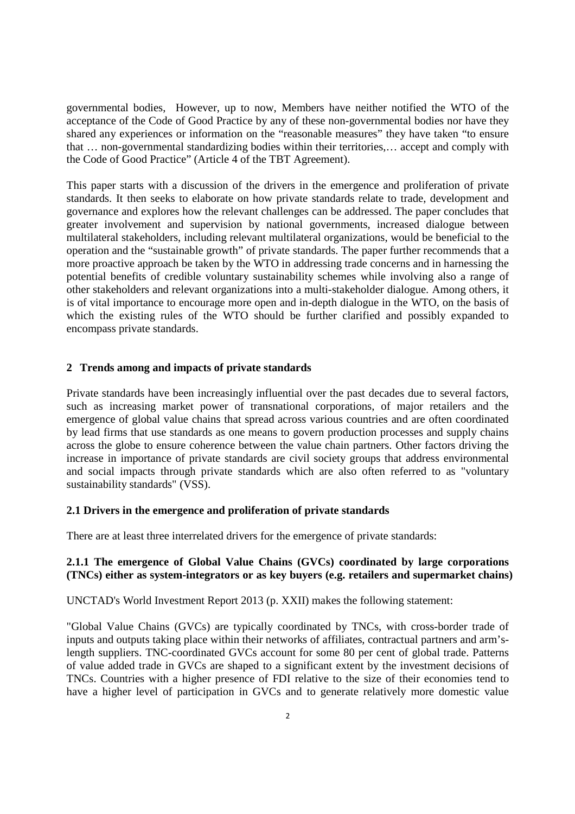governmental bodies, However, up to now, Members have neither notified the WTO of the acceptance of the Code of Good Practice by any of these non-governmental bodies nor have they shared any experiences or information on the "reasonable measures" they have taken "to ensure that … non-governmental standardizing bodies within their territories,… accept and comply with the Code of Good Practice" (Article 4 of the TBT Agreement).

This paper starts with a discussion of the drivers in the emergence and proliferation of private standards. It then seeks to elaborate on how private standards relate to trade, development and governance and explores how the relevant challenges can be addressed. The paper concludes that greater involvement and supervision by national governments, increased dialogue between multilateral stakeholders, including relevant multilateral organizations, would be beneficial to the operation and the "sustainable growth" of private standards. The paper further recommends that a more proactive approach be taken by the WTO in addressing trade concerns and in harnessing the potential benefits of credible voluntary sustainability schemes while involving also a range of other stakeholders and relevant organizations into a multi-stakeholder dialogue. Among others, it is of vital importance to encourage more open and in-depth dialogue in the WTO, on the basis of which the existing rules of the WTO should be further clarified and possibly expanded to encompass private standards.

#### **2 Trends among and impacts of private standards**

Private standards have been increasingly influential over the past decades due to several factors, such as increasing market power of transnational corporations, of major retailers and the emergence of global value chains that spread across various countries and are often coordinated by lead firms that use standards as one means to govern production processes and supply chains across the globe to ensure coherence between the value chain partners. Other factors driving the increase in importance of private standards are civil society groups that address environmental and social impacts through private standards which are also often referred to as "voluntary sustainability standards" (VSS).

#### **2.1 Drivers in the emergence and proliferation of private standards**

There are at least three interrelated drivers for the emergence of private standards:

## **2.1.1 The emergence of Global Value Chains (GVCs) coordinated by large corporations (TNCs) either as system-integrators or as key buyers (e.g. retailers and supermarket chains)**

UNCTAD's World Investment Report 2013 (p. XXII) makes the following statement:

"Global Value Chains (GVCs) are typically coordinated by TNCs, with cross-border trade of inputs and outputs taking place within their networks of affiliates, contractual partners and arm'slength suppliers. TNC-coordinated GVCs account for some 80 per cent of global trade. Patterns of value added trade in GVCs are shaped to a significant extent by the investment decisions of TNCs. Countries with a higher presence of FDI relative to the size of their economies tend to have a higher level of participation in GVCs and to generate relatively more domestic value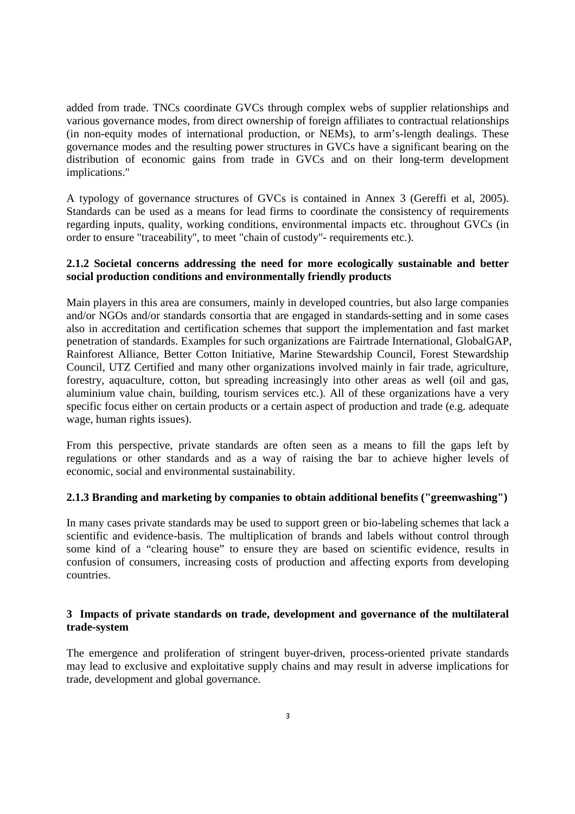added from trade. TNCs coordinate GVCs through complex webs of supplier relationships and various governance modes, from direct ownership of foreign affiliates to contractual relationships (in non-equity modes of international production, or NEMs), to arm's-length dealings. These governance modes and the resulting power structures in GVCs have a significant bearing on the distribution of economic gains from trade in GVCs and on their long-term development implications."

A typology of governance structures of GVCs is contained in Annex 3 (Gereffi et al, 2005). Standards can be used as a means for lead firms to coordinate the consistency of requirements regarding inputs, quality, working conditions, environmental impacts etc. throughout GVCs (in order to ensure "traceability", to meet "chain of custody"- requirements etc.).

## **2.1.2 Societal concerns addressing the need for more ecologically sustainable and better social production conditions and environmentally friendly products**

Main players in this area are consumers, mainly in developed countries, but also large companies and/or NGOs and/or standards consortia that are engaged in standards-setting and in some cases also in accreditation and certification schemes that support the implementation and fast market penetration of standards. Examples for such organizations are Fairtrade International, GlobalGAP, Rainforest Alliance, Better Cotton Initiative, Marine Stewardship Council, Forest Stewardship Council, UTZ Certified and many other organizations involved mainly in fair trade, agriculture, forestry, aquaculture, cotton, but spreading increasingly into other areas as well (oil and gas, aluminium value chain, building, tourism services etc.). All of these organizations have a very specific focus either on certain products or a certain aspect of production and trade (e.g. adequate wage, human rights issues).

From this perspective, private standards are often seen as a means to fill the gaps left by regulations or other standards and as a way of raising the bar to achieve higher levels of economic, social and environmental sustainability.

## **2.1.3 Branding and marketing by companies to obtain additional benefits ("greenwashing")**

In many cases private standards may be used to support green or bio-labeling schemes that lack a scientific and evidence-basis. The multiplication of brands and labels without control through some kind of a "clearing house" to ensure they are based on scientific evidence, results in confusion of consumers, increasing costs of production and affecting exports from developing countries.

## **3 Impacts of private standards on trade, development and governance of the multilateral trade-system**

The emergence and proliferation of stringent buyer-driven, process-oriented private standards may lead to exclusive and exploitative supply chains and may result in adverse implications for trade, development and global governance.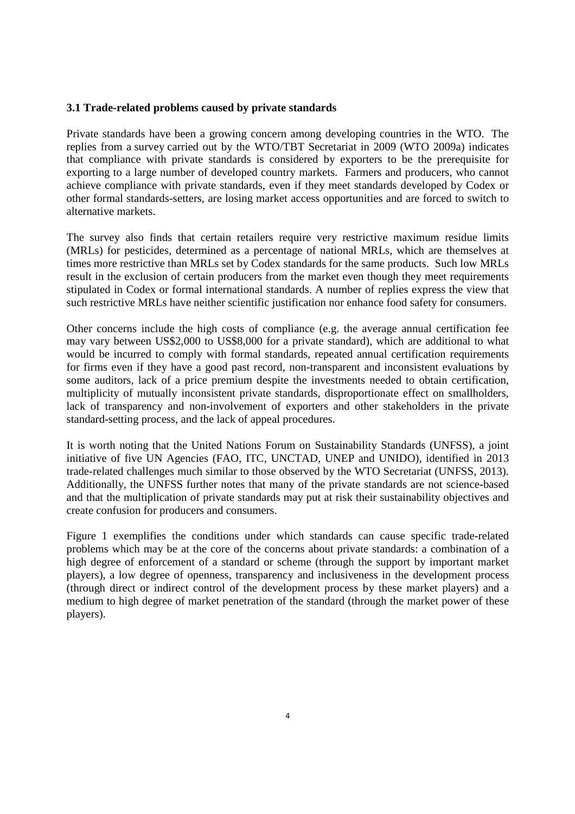## **3.1 Trade-related problems caused by private standards**

Private standards have been a growing concern among developing countries in the WTO. The replies from a survey carried out by the WTO/TBT Secretariat in 2009 (WTO 2009a) indicates that compliance with private standards is considered by exporters to be the prerequisite for exporting to a large number of developed country markets. Farmers and producers, who cannot achieve compliance with private standards, even if they meet standards developed by Codex or other formal standards-setters, are losing market access opportunities and are forced to switch to alternative markets.

The survey also finds that certain retailers require very restrictive maximum residue limits (MRLs) for pesticides, determined as a percentage of national MRLs, which are themselves at times more restrictive than MRLs set by Codex standards for the same products. Such low MRLs result in the exclusion of certain producers from the market even though they meet requirements stipulated in Codex or formal international standards. A number of replies express the view that such restrictive MRLs have neither scientific justification nor enhance food safety for consumers.

Other concerns include the high costs of compliance (e.g. the average annual certification fee may vary between US\$2,000 to US\$8,000 for a private standard), which are additional to what would be incurred to comply with formal standards, repeated annual certification requirements for firms even if they have a good past record, non-transparent and inconsistent evaluations by some auditors, lack of a price premium despite the investments needed to obtain certification, multiplicity of mutually inconsistent private standards, disproportionate effect on smallholders, lack of transparency and non-involvement of exporters and other stakeholders in the private standard-setting process, and the lack of appeal procedures.

It is worth noting that the United Nations Forum on Sustainability Standards (UNFSS), a joint initiative of five UN Agencies (FAO, ITC, UNCTAD, UNEP and UNIDO), identified in 2013 trade-related challenges much similar to those observed by the WTO Secretariat (UNFSS, 2013). Additionally, the UNFSS further notes that many of the private standards are not science-based and that the multiplication of private standards may put at risk their sustainability objectives and create confusion for producers and consumers.

Figure 1 exemplifies the conditions under which standards can cause specific trade-related problems which may be at the core of the concerns about private standards: a combination of a high degree of enforcement of a standard or scheme (through the support by important market players), a low degree of openness, transparency and inclusiveness in the development process (through direct or indirect control of the development process by these market players) and a medium to high degree of market penetration of the standard (through the market power of these players).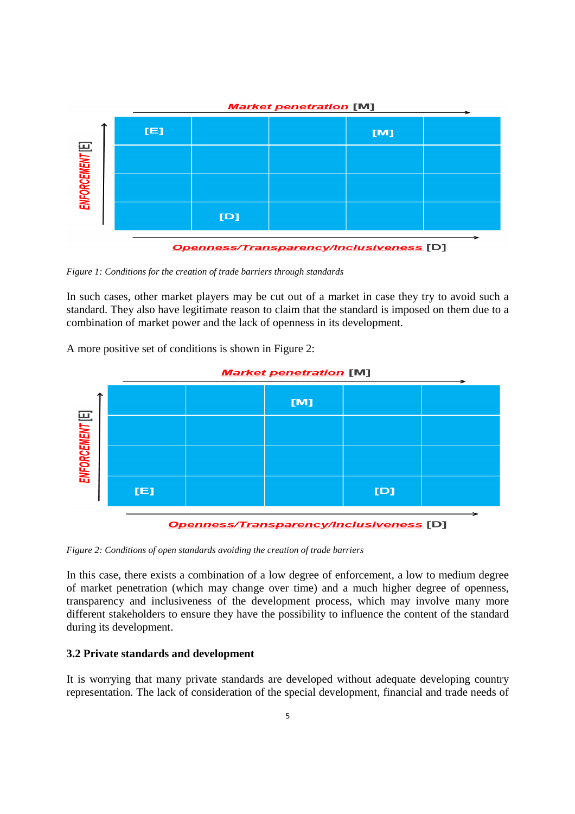

*Figure 1: Conditions for the creation of trade barriers through standards* 

In such cases, other market players may be cut out of a market in case they try to avoid such a standard. They also have legitimate reason to claim that the standard is imposed on them due to a combination of market power and the lack of openness in its development.

A more positive set of conditions is shown in Figure 2:



**Openness/Transparency/Inclusiveness [D]** 

*Figure 2: Conditions of open standards avoiding the creation of trade barriers* 

In this case, there exists a combination of a low degree of enforcement, a low to medium degree of market penetration (which may change over time) and a much higher degree of openness, transparency and inclusiveness of the development process, which may involve many more different stakeholders to ensure they have the possibility to influence the content of the standard during its development.

#### **3.2 Private standards and development**

It is worrying that many private standards are developed without adequate developing country representation. The lack of consideration of the special development, financial and trade needs of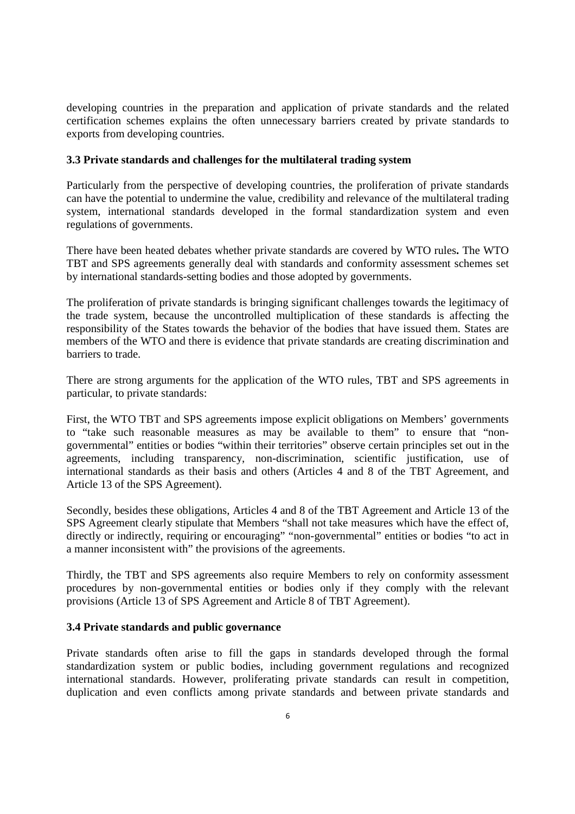developing countries in the preparation and application of private standards and the related certification schemes explains the often unnecessary barriers created by private standards to exports from developing countries.

#### **3.3 Private standards and challenges for the multilateral trading system**

Particularly from the perspective of developing countries, the proliferation of private standards can have the potential to undermine the value, credibility and relevance of the multilateral trading system, international standards developed in the formal standardization system and even regulations of governments.

There have been heated debates whether private standards are covered by WTO rules**.** The WTO TBT and SPS agreements generally deal with standards and conformity assessment schemes set by international standards-setting bodies and those adopted by governments.

The proliferation of private standards is bringing significant challenges towards the legitimacy of the trade system, because the uncontrolled multiplication of these standards is affecting the responsibility of the States towards the behavior of the bodies that have issued them. States are members of the WTO and there is evidence that private standards are creating discrimination and barriers to trade.

There are strong arguments for the application of the WTO rules, TBT and SPS agreements in particular, to private standards:

First, the WTO TBT and SPS agreements impose explicit obligations on Members' governments to "take such reasonable measures as may be available to them" to ensure that "nongovernmental" entities or bodies "within their territories" observe certain principles set out in the agreements, including transparency, non-discrimination, scientific justification, use of international standards as their basis and others (Articles 4 and 8 of the TBT Agreement, and Article 13 of the SPS Agreement).

Secondly, besides these obligations, Articles 4 and 8 of the TBT Agreement and Article 13 of the SPS Agreement clearly stipulate that Members "shall not take measures which have the effect of, directly or indirectly, requiring or encouraging" "non-governmental" entities or bodies "to act in a manner inconsistent with" the provisions of the agreements.

Thirdly, the TBT and SPS agreements also require Members to rely on conformity assessment procedures by non-governmental entities or bodies only if they comply with the relevant provisions (Article 13 of SPS Agreement and Article 8 of TBT Agreement).

#### **3.4 Private standards and public governance**

Private standards often arise to fill the gaps in standards developed through the formal standardization system or public bodies, including government regulations and recognized international standards. However, proliferating private standards can result in competition, duplication and even conflicts among private standards and between private standards and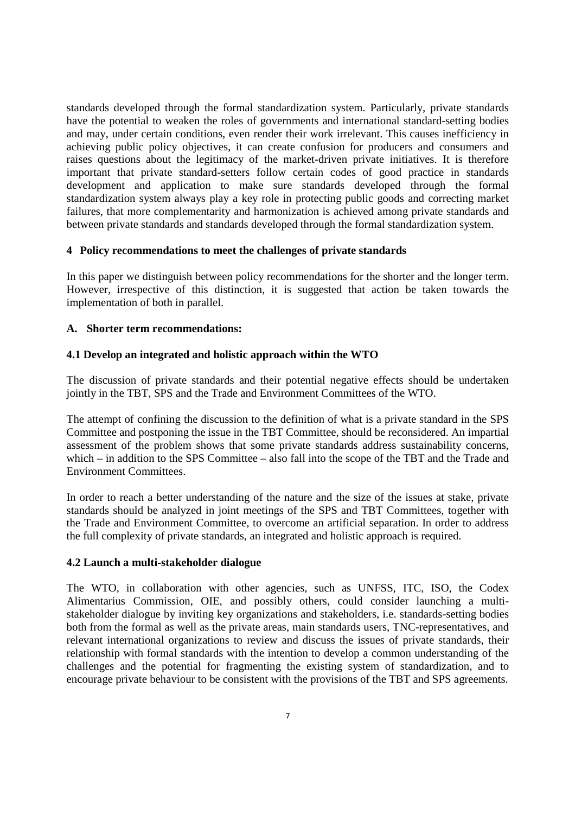standards developed through the formal standardization system. Particularly, private standards have the potential to weaken the roles of governments and international standard-setting bodies and may, under certain conditions, even render their work irrelevant. This causes inefficiency in achieving public policy objectives, it can create confusion for producers and consumers and raises questions about the legitimacy of the market-driven private initiatives. It is therefore important that private standard-setters follow certain codes of good practice in standards development and application to make sure standards developed through the formal standardization system always play a key role in protecting public goods and correcting market failures, that more complementarity and harmonization is achieved among private standards and between private standards and standards developed through the formal standardization system.

## **4 Policy recommendations to meet the challenges of private standards**

In this paper we distinguish between policy recommendations for the shorter and the longer term. However, irrespective of this distinction, it is suggested that action be taken towards the implementation of both in parallel.

## **A. Shorter term recommendations:**

## **4.1 Develop an integrated and holistic approach within the WTO**

The discussion of private standards and their potential negative effects should be undertaken jointly in the TBT, SPS and the Trade and Environment Committees of the WTO.

The attempt of confining the discussion to the definition of what is a private standard in the SPS Committee and postponing the issue in the TBT Committee, should be reconsidered. An impartial assessment of the problem shows that some private standards address sustainability concerns, which – in addition to the SPS Committee – also fall into the scope of the TBT and the Trade and Environment Committees.

In order to reach a better understanding of the nature and the size of the issues at stake, private standards should be analyzed in joint meetings of the SPS and TBT Committees, together with the Trade and Environment Committee, to overcome an artificial separation. In order to address the full complexity of private standards, an integrated and holistic approach is required.

#### **4.2 Launch a multi-stakeholder dialogue**

The WTO, in collaboration with other agencies, such as UNFSS, ITC, ISO, the Codex Alimentarius Commission, OIE, and possibly others, could consider launching a multistakeholder dialogue by inviting key organizations and stakeholders, i.e. standards-setting bodies both from the formal as well as the private areas, main standards users, TNC-representatives, and relevant international organizations to review and discuss the issues of private standards, their relationship with formal standards with the intention to develop a common understanding of the challenges and the potential for fragmenting the existing system of standardization, and to encourage private behaviour to be consistent with the provisions of the TBT and SPS agreements.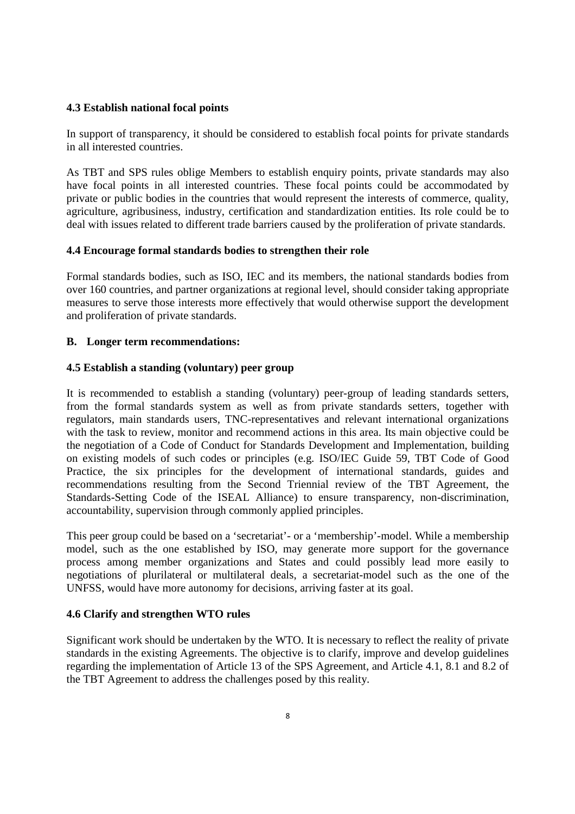#### **4.3 Establish national focal points**

In support of transparency, it should be considered to establish focal points for private standards in all interested countries.

As TBT and SPS rules oblige Members to establish enquiry points, private standards may also have focal points in all interested countries. These focal points could be accommodated by private or public bodies in the countries that would represent the interests of commerce, quality, agriculture, agribusiness, industry, certification and standardization entities. Its role could be to deal with issues related to different trade barriers caused by the proliferation of private standards.

## **4.4 Encourage formal standards bodies to strengthen their role**

Formal standards bodies, such as ISO, IEC and its members, the national standards bodies from over 160 countries, and partner organizations at regional level, should consider taking appropriate measures to serve those interests more effectively that would otherwise support the development and proliferation of private standards.

## **B. Longer term recommendations:**

## **4.5 Establish a standing (voluntary) peer group**

It is recommended to establish a standing (voluntary) peer-group of leading standards setters, from the formal standards system as well as from private standards setters, together with regulators, main standards users, TNC-representatives and relevant international organizations with the task to review, monitor and recommend actions in this area. Its main objective could be the negotiation of a Code of Conduct for Standards Development and Implementation, building on existing models of such codes or principles (e.g. ISO/IEC Guide 59, TBT Code of Good Practice, the six principles for the development of international standards, guides and recommendations resulting from the Second Triennial review of the TBT Agreement, the Standards-Setting Code of the ISEAL Alliance) to ensure transparency, non-discrimination, accountability, supervision through commonly applied principles.

This peer group could be based on a 'secretariat'- or a 'membership'-model. While a membership model, such as the one established by ISO, may generate more support for the governance process among member organizations and States and could possibly lead more easily to negotiations of plurilateral or multilateral deals, a secretariat-model such as the one of the UNFSS, would have more autonomy for decisions, arriving faster at its goal.

#### **4.6 Clarify and strengthen WTO rules**

Significant work should be undertaken by the WTO. It is necessary to reflect the reality of private standards in the existing Agreements. The objective is to clarify, improve and develop guidelines regarding the implementation of Article 13 of the SPS Agreement, and Article 4.1, 8.1 and 8.2 of the TBT Agreement to address the challenges posed by this reality.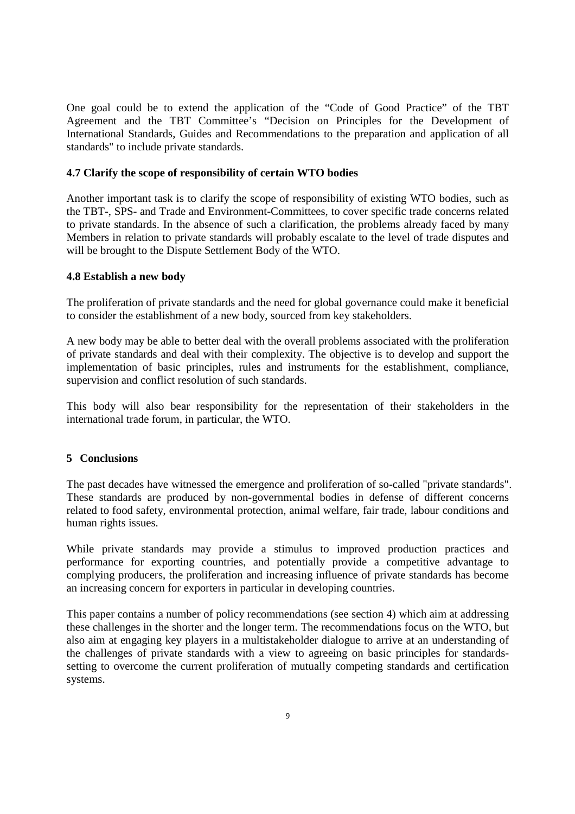One goal could be to extend the application of the "Code of Good Practice" of the TBT Agreement and the TBT Committee's "Decision on Principles for the Development of International Standards, Guides and Recommendations to the preparation and application of all standards" to include private standards.

## **4.7 Clarify the scope of responsibility of certain WTO bodies**

Another important task is to clarify the scope of responsibility of existing WTO bodies, such as the TBT-, SPS- and Trade and Environment-Committees, to cover specific trade concerns related to private standards. In the absence of such a clarification, the problems already faced by many Members in relation to private standards will probably escalate to the level of trade disputes and will be brought to the Dispute Settlement Body of the WTO.

## **4.8 Establish a new body**

The proliferation of private standards and the need for global governance could make it beneficial to consider the establishment of a new body, sourced from key stakeholders.

A new body may be able to better deal with the overall problems associated with the proliferation of private standards and deal with their complexity. The objective is to develop and support the implementation of basic principles, rules and instruments for the establishment, compliance, supervision and conflict resolution of such standards.

This body will also bear responsibility for the representation of their stakeholders in the international trade forum, in particular, the WTO.

#### **5 Conclusions**

The past decades have witnessed the emergence and proliferation of so-called "private standards". These standards are produced by non-governmental bodies in defense of different concerns related to food safety, environmental protection, animal welfare, fair trade, labour conditions and human rights issues.

While private standards may provide a stimulus to improved production practices and performance for exporting countries, and potentially provide a competitive advantage to complying producers, the proliferation and increasing influence of private standards has become an increasing concern for exporters in particular in developing countries.

This paper contains a number of policy recommendations (see section 4) which aim at addressing these challenges in the shorter and the longer term. The recommendations focus on the WTO, but also aim at engaging key players in a multistakeholder dialogue to arrive at an understanding of the challenges of private standards with a view to agreeing on basic principles for standardssetting to overcome the current proliferation of mutually competing standards and certification systems.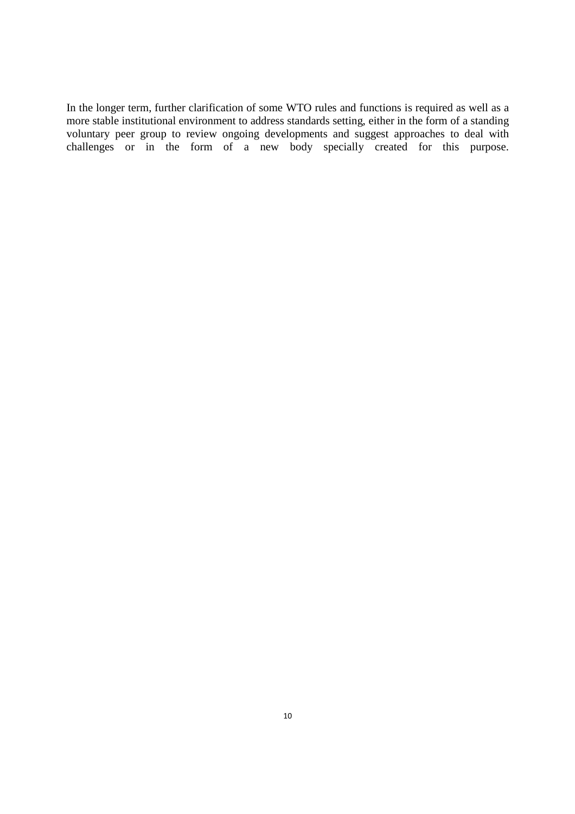In the longer term, further clarification of some WTO rules and functions is required as well as a more stable institutional environment to address standards setting, either in the form of a standing voluntary peer group to review ongoing developments and suggest approaches to deal with challenges or in the form of a new body specially created for this purpose.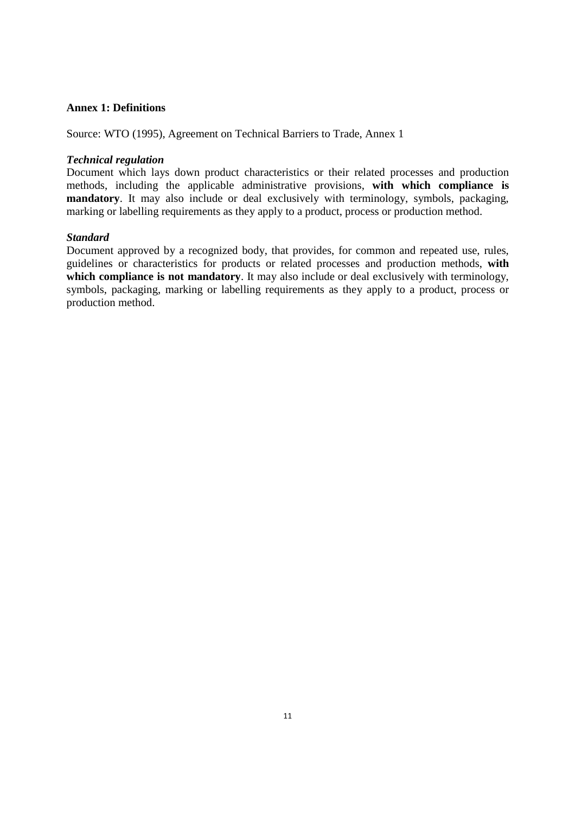#### **Annex 1: Definitions**

Source: WTO (1995), Agreement on Technical Barriers to Trade, Annex 1

## *Technical regulation*

Document which lays down product characteristics or their related processes and production methods, including the applicable administrative provisions, **with which compliance is mandatory**. It may also include or deal exclusively with terminology, symbols, packaging, marking or labelling requirements as they apply to a product, process or production method.

## *Standard*

Document approved by a recognized body, that provides, for common and repeated use, rules, guidelines or characteristics for products or related processes and production methods, **with**  which compliance is not mandatory. It may also include or deal exclusively with terminology, symbols, packaging, marking or labelling requirements as they apply to a product, process or production method.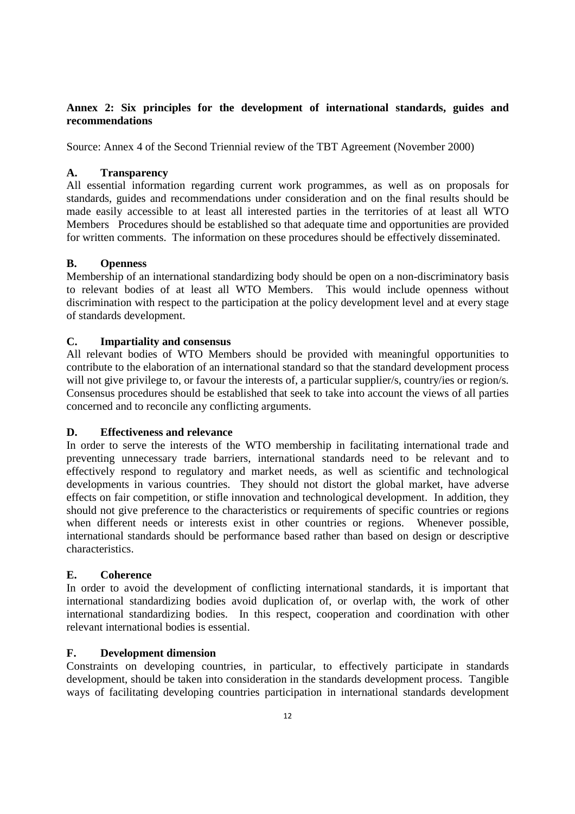## **Annex 2: Six principles for the development of international standards, guides and recommendations**

Source: Annex 4 of the Second Triennial review of the TBT Agreement (November 2000)

## **A. Transparency**

All essential information regarding current work programmes, as well as on proposals for standards, guides and recommendations under consideration and on the final results should be made easily accessible to at least all interested parties in the territories of at least all WTO Members Procedures should be established so that adequate time and opportunities are provided for written comments. The information on these procedures should be effectively disseminated.

## **B. Openness**

Membership of an international standardizing body should be open on a non-discriminatory basis to relevant bodies of at least all WTO Members. This would include openness without discrimination with respect to the participation at the policy development level and at every stage of standards development.

## **C. Impartiality and consensus**

All relevant bodies of WTO Members should be provided with meaningful opportunities to contribute to the elaboration of an international standard so that the standard development process will not give privilege to, or favour the interests of, a particular supplier/s, country/ies or region/s. Consensus procedures should be established that seek to take into account the views of all parties concerned and to reconcile any conflicting arguments.

## **D. Effectiveness and relevance**

In order to serve the interests of the WTO membership in facilitating international trade and preventing unnecessary trade barriers, international standards need to be relevant and to effectively respond to regulatory and market needs, as well as scientific and technological developments in various countries. They should not distort the global market, have adverse effects on fair competition, or stifle innovation and technological development. In addition, they should not give preference to the characteristics or requirements of specific countries or regions when different needs or interests exist in other countries or regions. Whenever possible, international standards should be performance based rather than based on design or descriptive characteristics.

## **E. Coherence**

In order to avoid the development of conflicting international standards, it is important that international standardizing bodies avoid duplication of, or overlap with, the work of other international standardizing bodies. In this respect, cooperation and coordination with other relevant international bodies is essential.

## **F. Development dimension**

Constraints on developing countries, in particular, to effectively participate in standards development, should be taken into consideration in the standards development process. Tangible ways of facilitating developing countries participation in international standards development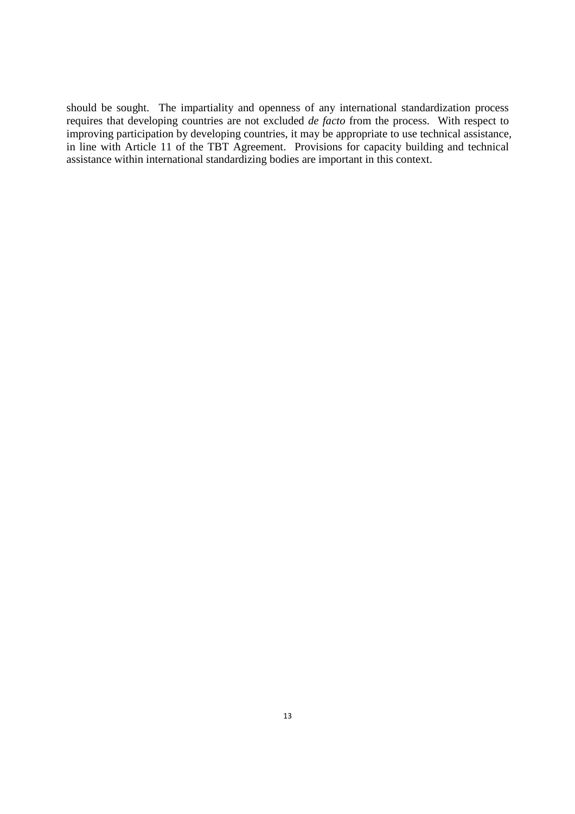should be sought. The impartiality and openness of any international standardization process requires that developing countries are not excluded *de facto* from the process. With respect to improving participation by developing countries, it may be appropriate to use technical assistance, in line with Article 11 of the TBT Agreement. Provisions for capacity building and technical assistance within international standardizing bodies are important in this context.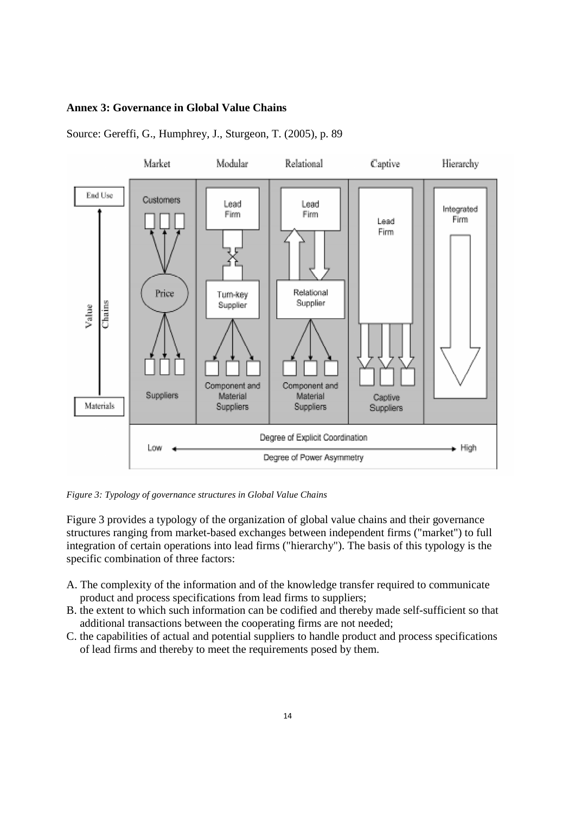#### **Annex 3: Governance in Global Value Chains**



Source: Gereffi, G., Humphrey, J., Sturgeon, T. (2005), p. 89

*Figure 3: Typology of governance structures in Global Value Chains* 

Figure 3 provides a typology of the organization of global value chains and their governance structures ranging from market-based exchanges between independent firms ("market") to full integration of certain operations into lead firms ("hierarchy"). The basis of this typology is the specific combination of three factors:

- A. The complexity of the information and of the knowledge transfer required to communicate product and process specifications from lead firms to suppliers;
- B. the extent to which such information can be codified and thereby made self-sufficient so that additional transactions between the cooperating firms are not needed;
- C. the capabilities of actual and potential suppliers to handle product and process specifications of lead firms and thereby to meet the requirements posed by them.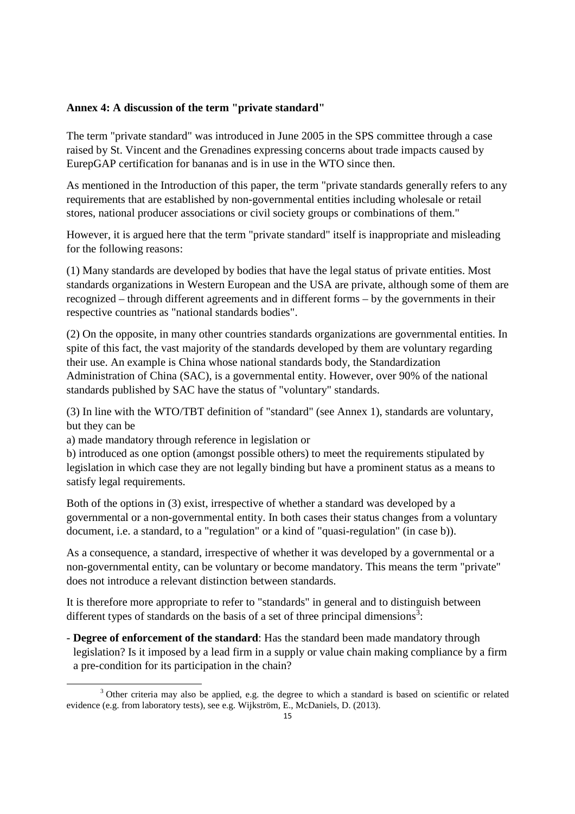#### **Annex 4: A discussion of the term "private standard"**

The term "private standard" was introduced in June 2005 in the SPS committee through a case raised by St. Vincent and the Grenadines expressing concerns about trade impacts caused by EurepGAP certification for bananas and is in use in the WTO since then.

As mentioned in the Introduction of this paper, the term "private standards generally refers to any requirements that are established by non-governmental entities including wholesale or retail stores, national producer associations or civil society groups or combinations of them."

However, it is argued here that the term "private standard" itself is inappropriate and misleading for the following reasons:

(1) Many standards are developed by bodies that have the legal status of private entities. Most standards organizations in Western European and the USA are private, although some of them are recognized – through different agreements and in different forms – by the governments in their respective countries as "national standards bodies".

(2) On the opposite, in many other countries standards organizations are governmental entities. In spite of this fact, the vast majority of the standards developed by them are voluntary regarding their use. An example is China whose national standards body, the Standardization Administration of China (SAC), is a governmental entity. However, over 90% of the national standards published by SAC have the status of "voluntary" standards.

(3) In line with the WTO/TBT definition of "standard" (see Annex 1), standards are voluntary, but they can be

a) made mandatory through reference in legislation or

<u>.</u>

b) introduced as one option (amongst possible others) to meet the requirements stipulated by legislation in which case they are not legally binding but have a prominent status as a means to satisfy legal requirements.

Both of the options in (3) exist, irrespective of whether a standard was developed by a governmental or a non-governmental entity. In both cases their status changes from a voluntary document, i.e. a standard, to a "regulation" or a kind of "quasi-regulation" (in case b)).

As a consequence, a standard, irrespective of whether it was developed by a governmental or a non-governmental entity, can be voluntary or become mandatory. This means the term "private" does not introduce a relevant distinction between standards.

It is therefore more appropriate to refer to "standards" in general and to distinguish between different types of standards on the basis of a set of three principal dimensions<sup>3</sup>:

- **Degree of enforcement of the standard**: Has the standard been made mandatory through legislation? Is it imposed by a lead firm in a supply or value chain making compliance by a firm a pre-condition for its participation in the chain?

<sup>&</sup>lt;sup>3</sup> Other criteria may also be applied, e.g. the degree to which a standard is based on scientific or related evidence (e.g. from laboratory tests), see e.g. Wijkström, E., McDaniels, D. (2013).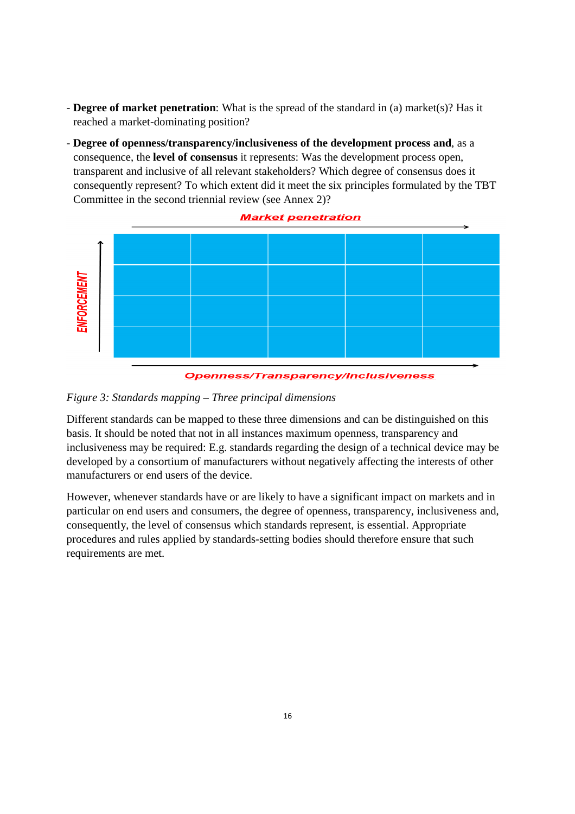- **Degree of market penetration**: What is the spread of the standard in (a) market(s)? Has it reached a market-dominating position?
- **Degree of openness/transparency/inclusiveness of the development process and**, as a consequence, the **level of consensus** it represents: Was the development process open, transparent and inclusive of all relevant stakeholders? Which degree of consensus does it consequently represent? To which extent did it meet the six principles formulated by the TBT Committee in the second triennial review (see Annex 2)?





**Openness/Transparency/Inclusiveness** 

#### *Figure 3: Standards mapping – Three principal dimensions*

Different standards can be mapped to these three dimensions and can be distinguished on this basis. It should be noted that not in all instances maximum openness, transparency and inclusiveness may be required: E.g. standards regarding the design of a technical device may be developed by a consortium of manufacturers without negatively affecting the interests of other manufacturers or end users of the device.

However, whenever standards have or are likely to have a significant impact on markets and in particular on end users and consumers, the degree of openness, transparency, inclusiveness and, consequently, the level of consensus which standards represent, is essential. Appropriate procedures and rules applied by standards-setting bodies should therefore ensure that such requirements are met.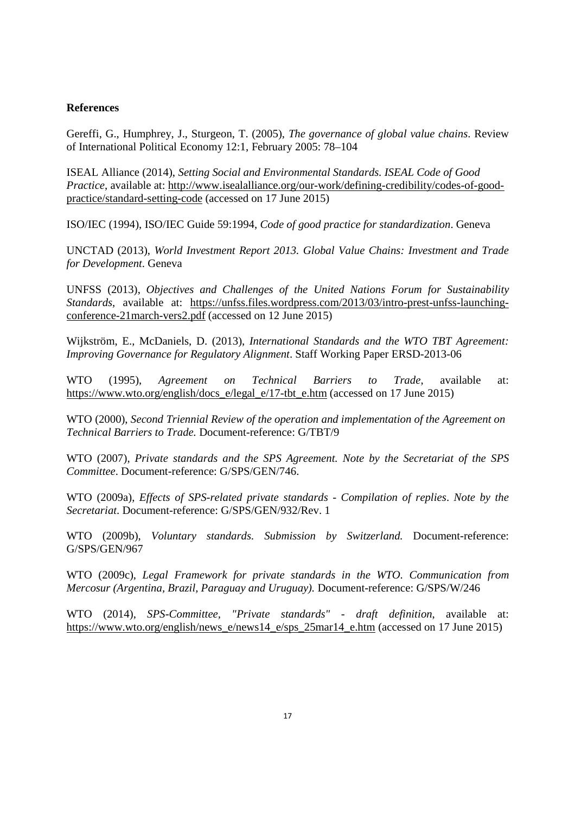#### **References**

Gereffi, G., Humphrey, J., Sturgeon, T. (2005), *The governance of global value chains*. Review of International Political Economy 12:1, February 2005: 78–104

ISEAL Alliance (2014), *Setting Social and Environmental Standards. ISEAL Code of Good Practice*, available at: http://www.isealalliance.org/our-work/defining-credibility/codes-of-goodpractice/standard-setting-code (accessed on 17 June 2015)

ISO/IEC (1994), ISO/IEC Guide 59:1994, *Code of good practice for standardization*. Geneva

UNCTAD (2013), *World Investment Report 2013. Global Value Chains: Investment and Trade for Development*. Geneva

UNFSS (2013), *Objectives and Challenges of the United Nations Forum for Sustainability Standards*, available at: https://unfss.files.wordpress.com/2013/03/intro-prest-unfss-launchingconference-21march-vers2.pdf (accessed on 12 June 2015)

Wijkström, E., McDaniels, D. (2013), *International Standards and the WTO TBT Agreement: Improving Governance for Regulatory Alignment*. Staff Working Paper ERSD-2013-06

WTO (1995), *Agreement on Technical Barriers to Trade*, available at: https://www.wto.org/english/docs\_e/legal\_e/17-tbt\_e.htm (accessed on 17 June 2015)

WTO (2000), *Second Triennial Review of the operation and implementation of the Agreement on Technical Barriers to Trade.* Document-reference: G/TBT/9

WTO (2007), *Private standards and the SPS Agreement. Note by the Secretariat of the SPS Committee*. Document-reference: G/SPS/GEN/746.

WTO (2009a), *Effects of SPS-related private standards - Compilation of replies*. *Note by the Secretariat*. Document-reference: G/SPS/GEN/932/Rev. 1

WTO (2009b), *Voluntary standards. Submission by Switzerland.* Document-reference: G/SPS/GEN/967

WTO (2009c), *Legal Framework for private standards in the WTO*. *Communication from Mercosur (Argentina, Brazil, Paraguay and Uruguay).* Document-reference: G/SPS/W/246

WTO (2014), *SPS-Committee, "Private standards" - draft definition*, available at: https://www.wto.org/english/news\_e/news14\_e/sps\_25mar14\_e.htm (accessed on 17 June 2015)